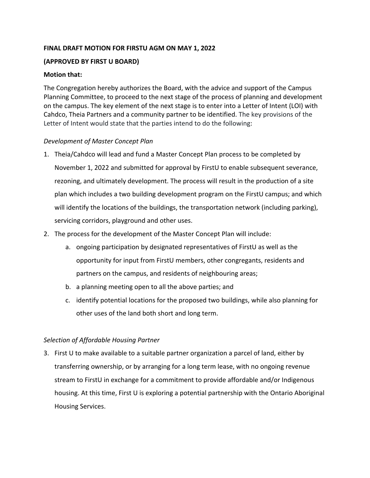# **FINAL DRAFT MOTION FOR FIRSTU AGM ON MAY 1, 2022**

# **(APPROVED BY FIRST U BOARD)**

## **Motion that:**

The Congregation hereby authorizes the Board, with the advice and support of the Campus Planning Committee, to proceed to the next stage of the process of planning and development on the campus. The key element of the next stage is to enter into a Letter of Intent (LOI) with Cahdco, Theia Partners and a community partner to be identified. The key provisions of the Letter of Intent would state that the parties intend to do the following:

# *Development of Master Concept Plan*

- 1. Theia/Cahdco will lead and fund a Master Concept Plan process to be completed by November 1, 2022 and submitted for approval by FirstU to enable subsequent severance, rezoning, and ultimately development. The process will result in the production of a site plan which includes a two building development program on the FirstU campus; and which will identify the locations of the buildings, the transportation network (including parking), servicing corridors, playground and other uses.
- 2. The process for the development of the Master Concept Plan will include:
	- a. ongoing participation by designated representatives of FirstU as well as the opportunity for input from FirstU members, other congregants, residents and partners on the campus, and residents of neighbouring areas;
	- b. a planning meeting open to all the above parties; and
	- c. identify potential locations for the proposed two buildings, while also planning for other uses of the land both short and long term.

#### *Selection of Affordable Housing Partner*

3. First U to make available to a suitable partner organization a parcel of land, either by transferring ownership, or by arranging for a long term lease, with no ongoing revenue stream to FirstU in exchange for a commitment to provide affordable and/or Indigenous housing. At this time, First U is exploring a potential partnership with the Ontario Aboriginal Housing Services.